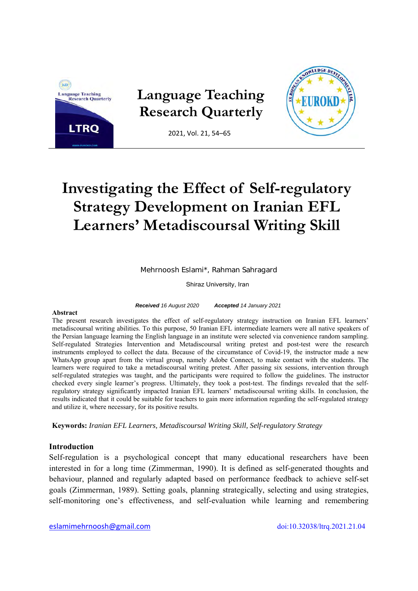

# **Investigating the Effect of Self-regulatory Strategy Development on Iranian EFL Learners' Metadiscoursal Writing Skill**

Mehrnoosh Eslami\*, Rahman Sahragard

Shiraz University, Iran

*Received 16 August 2020 Accepted 14 January 2021* 

#### **Abstract**

The present research investigates the effect of self-regulatory strategy instruction on Iranian EFL learners' metadiscoursal writing abilities. To this purpose, 50 Iranian EFL intermediate learners were all native speakers of the Persian language learning the English language in an institute were selected via convenience random sampling. Self-regulated Strategies Intervention and Metadiscoursal writing pretest and post-test were the research instruments employed to collect the data. Because of the circumstance of Covid-19, the instructor made a new WhatsApp group apart from the virtual group, namely Adobe Connect, to make contact with the students. The learners were required to take a metadiscoursal writing pretest. After passing six sessions, intervention through self-regulated strategies was taught, and the participants were required to follow the guidelines. The instructor checked every single learner's progress. Ultimately, they took a post-test. The findings revealed that the selfregulatory strategy significantly impacted Iranian EFL learners' metadiscoursal writing skills. In conclusion, the results indicated that it could be suitable for teachers to gain more information regarding the self-regulated strategy and utilize it, where necessary, for its positive results.

**Keywords:** *Iranian EFL Learners, Metadiscoursal Writing Skill, Self-regulatory Strategy*

## **Introduction**

Self-regulation is a psychological concept that many educational researchers have been interested in for a long time (Zimmerman, 1990). It is defined as self-generated thoughts and behaviour, planned and regularly adapted based on performance feedback to achieve self-set goals (Zimmerman, 1989). Setting goals, planning strategically, selecting and using strategies, self-monitoring one's effectiveness, and self-evaluation while learning and remembering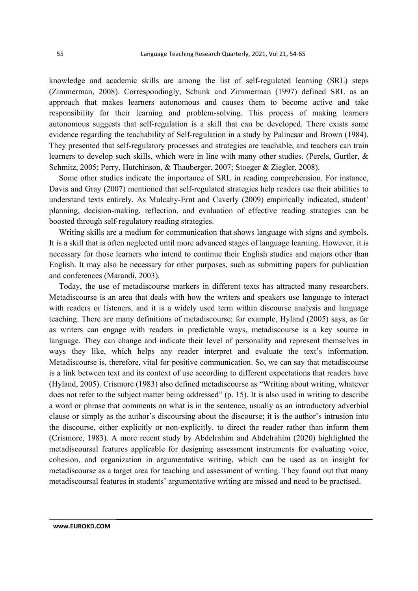knowledge and academic skills are among the list of self-regulated learning (SRL) steps (Zimmerman, 2008). Correspondingly, Schunk and Zimmerman (1997) defined SRL as an approach that makes learners autonomous and causes them to become active and take responsibility for their learning and problem-solving. This process of making learners autonomous suggests that self-regulation is a skill that can be developed. There exists some evidence regarding the teachability of Self-regulation in a study by Palincsar and Brown (1984). They presented that self-regulatory processes and strategies are teachable, and teachers can train learners to develop such skills, which were in line with many other studies. (Perels, Gurtler, & Schmitz, 2005; Perry, Hutchinson, & Thauberger, 2007; Stoeger & Ziegler, 2008).

Some other studies indicate the importance of SRL in reading comprehension. For instance, Davis and Gray (2007) mentioned that self-regulated strategies help readers use their abilities to understand texts entirely. As Mulcahy-Ernt and Caverly (2009) empirically indicated, student' planning, decision-making, reflection, and evaluation of effective reading strategies can be boosted through self-regulatory reading strategies.

Writing skills are a medium for communication that shows language with signs and symbols. It is a skill that is often neglected until more advanced stages of language learning. However, it is necessary for those learners who intend to continue their English studies and majors other than English. It may also be necessary for other purposes, such as submitting papers for publication and conferences (Marandi, 2003).

Today, the use of metadiscourse markers in different texts has attracted many researchers. Metadiscourse is an area that deals with how the writers and speakers use language to interact with readers or listeners, and it is a widely used term within discourse analysis and language teaching. There are many definitions of metadiscourse; for example, Hyland (2005) says, as far as writers can engage with readers in predictable ways, metadiscourse is a key source in language. They can change and indicate their level of personality and represent themselves in ways they like, which helps any reader interpret and evaluate the text's information. Metadiscourse is, therefore, vital for positive communication. So, we can say that metadiscourse is a link between text and its context of use according to different expectations that readers have (Hyland, 2005). Crismore (1983) also defined metadiscourse as "Writing about writing, whatever does not refer to the subject matter being addressed" (p. 15). It is also used in writing to describe a word or phrase that comments on what is in the sentence, usually as an introductory adverbial clause or simply as the author's discoursing about the discourse; it is the author's intrusion into the discourse, either explicitly or non-explicitly, to direct the reader rather than inform them (Crismore, 1983). A more recent study by Abdelrahim and Abdelrahim (2020) highlighted the metadiscoursal features applicable for designing assessment instruments for evaluating voice, cohesion, and organization in argumentative writing, which can be used as an insight for metadiscourse as a target area for teaching and assessment of writing. They found out that many metadiscoursal features in students' argumentative writing are missed and need to be practised.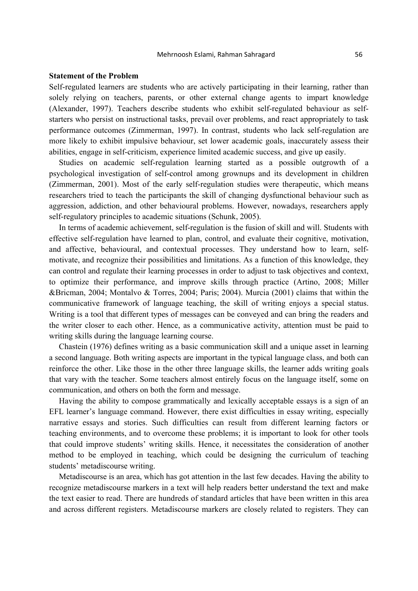#### Mehrnoosh Eslami, Rahman Sahragard 56

## **Statement of the Problem**

Self-regulated learners are students who are actively participating in their learning, rather than solely relying on teachers, parents, or other external change agents to impart knowledge (Alexander, 1997). Teachers describe students who exhibit self-regulated behaviour as selfstarters who persist on instructional tasks, prevail over problems, and react appropriately to task performance outcomes (Zimmerman, 1997). In contrast, students who lack self-regulation are more likely to exhibit impulsive behaviour, set lower academic goals, inaccurately assess their abilities, engage in self-criticism, experience limited academic success, and give up easily.

Studies on academic self-regulation learning started as a possible outgrowth of a psychological investigation of self-control among grownups and its development in children (Zimmerman, 2001). Most of the early self-regulation studies were therapeutic, which means researchers tried to teach the participants the skill of changing dysfunctional behaviour such as aggression, addiction, and other behavioural problems. However, nowadays, researchers apply self-regulatory principles to academic situations (Schunk, 2005).

In terms of academic achievement, self-regulation is the fusion of skill and will. Students with effective self-regulation have learned to plan, control, and evaluate their cognitive, motivation, and affective, behavioural, and contextual processes. They understand how to learn, selfmotivate, and recognize their possibilities and limitations. As a function of this knowledge, they can control and regulate their learning processes in order to adjust to task objectives and context, to optimize their performance, and improve skills through practice (Artino, 2008; Miller &Bricman, 2004; Montalvo & Torres, 2004; Paris; 2004). Murcia (2001) claims that within the communicative framework of language teaching, the skill of writing enjoys a special status. Writing is a tool that different types of messages can be conveyed and can bring the readers and the writer closer to each other. Hence, as a communicative activity, attention must be paid to writing skills during the language learning course.

Chastein (1976) defines writing as a basic communication skill and a unique asset in learning a second language. Both writing aspects are important in the typical language class, and both can reinforce the other. Like those in the other three language skills, the learner adds writing goals that vary with the teacher. Some teachers almost entirely focus on the language itself, some on communication, and others on both the form and message.

Having the ability to compose grammatically and lexically acceptable essays is a sign of an EFL learner's language command. However, there exist difficulties in essay writing, especially narrative essays and stories. Such difficulties can result from different learning factors or teaching environments, and to overcome these problems; it is important to look for other tools that could improve students' writing skills. Hence, it necessitates the consideration of another method to be employed in teaching, which could be designing the curriculum of teaching students' metadiscourse writing.

Metadiscourse is an area, which has got attention in the last few decades. Having the ability to recognize metadiscourse markers in a text will help readers better understand the text and make the text easier to read. There are hundreds of standard articles that have been written in this area and across different registers. Metadiscourse markers are closely related to registers. They can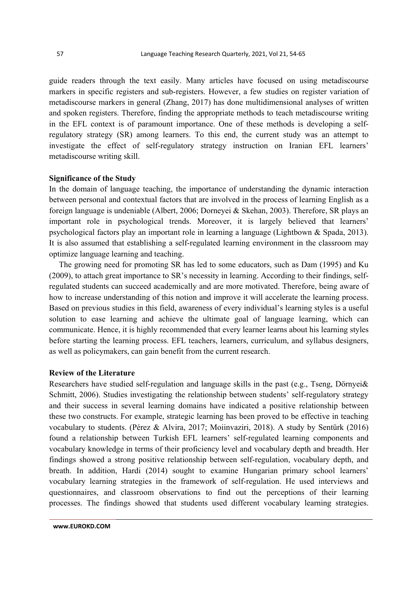guide readers through the text easily. Many articles have focused on using metadiscourse markers in specific registers and sub-registers. However, a few studies on register variation of metadiscourse markers in general (Zhang, 2017) has done multidimensional analyses of written and spoken registers. Therefore, finding the appropriate methods to teach metadiscourse writing in the EFL context is of paramount importance. One of these methods is developing a selfregulatory strategy (SR) among learners. To this end, the current study was an attempt to investigate the effect of self-regulatory strategy instruction on Iranian EFL learners' metadiscourse writing skill.

### **Significance of the Study**

In the domain of language teaching, the importance of understanding the dynamic interaction between personal and contextual factors that are involved in the process of learning English as a foreign language is undeniable (Albert, 2006; Dorneyei & Skehan, 2003). Therefore, SR plays an important role in psychological trends. Moreover, it is largely believed that learners' psychological factors play an important role in learning a language (Lightbown & Spada, 2013). It is also assumed that establishing a self-regulated learning environment in the classroom may optimize language learning and teaching.

The growing need for promoting SR has led to some educators, such as Dam (1995) and Ku (2009), to attach great importance to SR's necessity in learning. According to their findings, selfregulated students can succeed academically and are more motivated. Therefore, being aware of how to increase understanding of this notion and improve it will accelerate the learning process. Based on previous studies in this field, awareness of every individual's learning styles is a useful solution to ease learning and achieve the ultimate goal of language learning, which can communicate. Hence, it is highly recommended that every learner learns about his learning styles before starting the learning process. EFL teachers, learners, curriculum, and syllabus designers, as well as policymakers, can gain benefit from the current research.

## **Review of the Literature**

Researchers have studied self-regulation and language skills in the past (e.g., Tseng, Dörnyei& Schmitt, 2006). Studies investigating the relationship between students' self-regulatory strategy and their success in several learning domains have indicated a positive relationship between these two constructs. For example, strategic learning has been proved to be effective in teaching vocabulary to students. (Pérez & Alvira, 2017; Moiinvaziri, 2018). A study by Sentürk (2016) found a relationship between Turkish EFL learners' self-regulated learning components and vocabulary knowledge in terms of their proficiency level and vocabulary depth and breadth. Her findings showed a strong positive relationship between self-regulation, vocabulary depth, and breath. In addition, Hardi (2014) sought to examine Hungarian primary school learners' vocabulary learning strategies in the framework of self-regulation. He used interviews and questionnaires, and classroom observations to find out the perceptions of their learning processes. The findings showed that students used different vocabulary learning strategies.

**www.EUROKD.COM**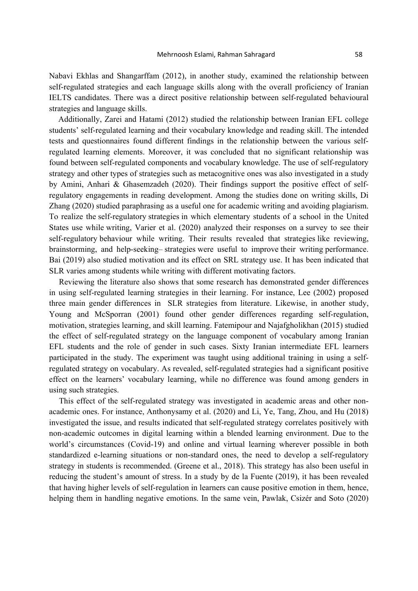Nabavi Ekhlas and Shangarffam (2012), in another study, examined the relationship between self-regulated strategies and each language skills along with the overall proficiency of Iranian IELTS candidates. There was a direct positive relationship between self-regulated behavioural strategies and language skills.

Additionally, Zarei and Hatami (2012) studied the relationship between Iranian EFL college students' self-regulated learning and their vocabulary knowledge and reading skill. The intended tests and questionnaires found different findings in the relationship between the various selfregulated learning elements. Moreover, it was concluded that no significant relationship was found between self-regulated components and vocabulary knowledge. The use of self-regulatory strategy and other types of strategies such as metacognitive ones was also investigated in a study by Amini, Anhari & Ghasemzadeh (2020). Their findings support the positive effect of selfregulatory engagements in reading development. Among the studies done on writing skills, Di Zhang (2020) studied paraphrasing as a useful one for academic writing and avoiding plagiarism. To realize the self-regulatory strategies in which elementary students of a school in the United States use while writing, Varier et al. (2020) analyzed their responses on a survey to see their self-regulatory behaviour while writing. Their results revealed that strategies like reviewing, brainstorming, and help-seeking– strategies were useful to improve their writing performance. Bai (2019) also studied motivation and its effect on SRL strategy use. It has been indicated that SLR varies among students while writing with different motivating factors.

Reviewing the literature also shows that some research has demonstrated gender differences in using self-regulated learning strategies in their learning. For instance, Lee (2002) proposed three main gender differences in SLR strategies from literature. Likewise, in another study, Young and McSporran (2001) found other gender differences regarding self-regulation, motivation, strategies learning, and skill learning. Fatemipour and Najafgholikhan (2015) studied the effect of self-regulated strategy on the language component of vocabulary among Iranian EFL students and the role of gender in such cases. Sixty Iranian intermediate EFL learners participated in the study. The experiment was taught using additional training in using a selfregulated strategy on vocabulary. As revealed, self-regulated strategies had a significant positive effect on the learners' vocabulary learning, while no difference was found among genders in using such strategies.

This effect of the self-regulated strategy was investigated in academic areas and other nonacademic ones. For instance, Anthonysamy et al. (2020) and Li, Ye, Tang, Zhou, and Hu (2018) investigated the issue, and results indicated that self-regulated strategy correlates positively with non-academic outcomes in digital learning within a blended learning environment. Due to the world's circumstances (Covid-19) and online and virtual learning wherever possible in both standardized e-learning situations or non-standard ones, the need to develop a self-regulatory strategy in students is recommended. (Greene et al., 2018). This strategy has also been useful in reducing the student's amount of stress. In a study by de la Fuente (2019), it has been revealed that having higher levels of self-regulation in learners can cause positive emotion in them, hence, helping them in handling negative emotions. In the same vein, Pawlak, Csizér and Soto (2020)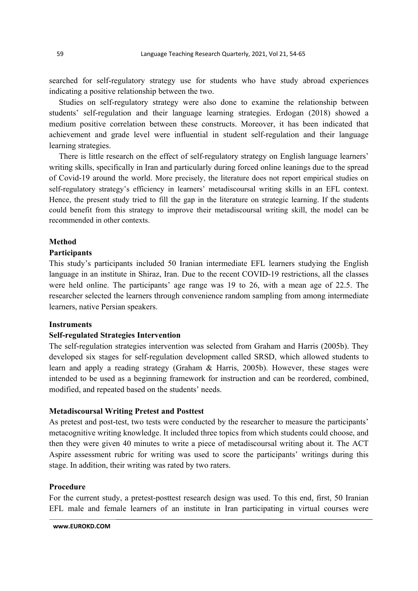searched for self-regulatory strategy use for students who have study abroad experiences indicating a positive relationship between the two.

Studies on self-regulatory strategy were also done to examine the relationship between students' self-regulation and their language learning strategies. Erdogan (2018) showed a medium positive correlation between these constructs. Moreover, it has been indicated that achievement and grade level were influential in student self-regulation and their language learning strategies.

There is little research on the effect of self-regulatory strategy on English language learners' writing skills, specifically in Iran and particularly during forced online leanings due to the spread of Covid-19 around the world. More precisely, the literature does not report empirical studies on self-regulatory strategy's efficiency in learners' metadiscoursal writing skills in an EFL context. Hence, the present study tried to fill the gap in the literature on strategic learning. If the students could benefit from this strategy to improve their metadiscoursal writing skill, the model can be recommended in other contexts.

### **Method**

# **Participants**

This study's participants included 50 Iranian intermediate EFL learners studying the English language in an institute in Shiraz, Iran. Due to the recent COVID-19 restrictions, all the classes were held online. The participants' age range was 19 to 26, with a mean age of 22.5. The researcher selected the learners through convenience random sampling from among intermediate learners, native Persian speakers.

#### **Instruments**

## **Self-regulated Strategies Intervention**

The self-regulation strategies intervention was selected from Graham and Harris (2005b). They developed six stages for self-regulation development called SRSD, which allowed students to learn and apply a reading strategy (Graham & Harris, 2005b). However, these stages were intended to be used as a beginning framework for instruction and can be reordered, combined, modified, and repeated based on the students' needs.

## **Metadiscoursal Writing Pretest and Posttest**

As pretest and post-test, two tests were conducted by the researcher to measure the participants' metacognitive writing knowledge. It included three topics from which students could choose, and then they were given 40 minutes to write a piece of metadiscoursal writing about it. The ACT Aspire assessment rubric for writing was used to score the participants' writings during this stage. In addition, their writing was rated by two raters.

## **Procedure**

For the current study, a pretest-posttest research design was used. To this end, first, 50 Iranian EFL male and female learners of an institute in Iran participating in virtual courses were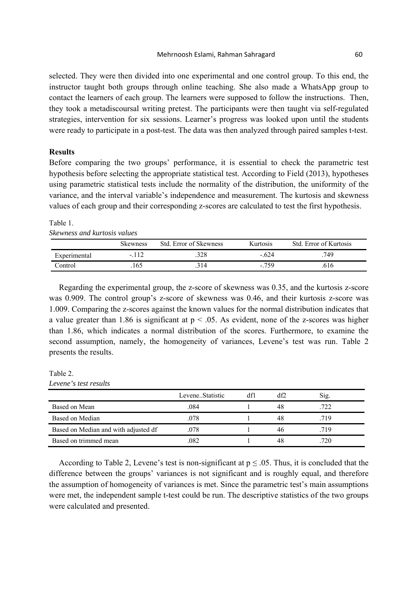#### Mehrnoosh Eslami, Rahman Sahragard 60

selected. They were then divided into one experimental and one control group. To this end, the instructor taught both groups through online teaching. She also made a WhatsApp group to contact the learners of each group. The learners were supposed to follow the instructions. Then, they took a metadiscoursal writing pretest. The participants were then taught via self-regulated strategies, intervention for six sessions. Learner's progress was looked upon until the students were ready to participate in a post-test. The data was then analyzed through paired samples t-test.

## **Results**

Before comparing the two groups' performance, it is essential to check the parametric test hypothesis before selecting the appropriate statistical test. According to Field (2013), hypotheses using parametric statistical tests include the normality of the distribution, the uniformity of the variance, and the interval variable's independence and measurement. The kurtosis and skewness values of each group and their corresponding z-scores are calculated to test the first hypothesis.

#### Table 1. *Skewness and kurtosis values*

|              | Skewness | Std. Error of Skewness | Kurtosis | Std. Error of Kurtosis |
|--------------|----------|------------------------|----------|------------------------|
| Experimental | $-112$   | 328                    | $-624$   | 749.                   |
| Control      | 165      | `14                    | $-759$   | 616                    |

Regarding the experimental group, the z-score of skewness was 0.35, and the kurtosis z-score was 0.909. The control group's z-score of skewness was 0.46, and their kurtosis z-score was 1.009. Comparing the z-scores against the known values for the normal distribution indicates that a value greater than 1.86 is significant at  $p < .05$ . As evident, none of the z-scores was higher than 1.86, which indicates a normal distribution of the scores. Furthermore, to examine the second assumption, namely, the homogeneity of variances, Levene's test was run. Table 2 presents the results.

Table 2. *Levene's test results* 

|                                      | LeveneStatistic | df1 |    | Sig. |
|--------------------------------------|-----------------|-----|----|------|
| Based on Mean                        | .084            |     | 48 | .722 |
| Based on Median                      | .078            |     | 48 | .719 |
| Based on Median and with adjusted df | .078            |     |    | .719 |
| Based on trimmed mean                | .082            |     | 48 | 720  |

According to Table 2, Levene's test is non-significant at  $p \le 0.05$ . Thus, it is concluded that the difference between the groups' variances is not significant and is roughly equal, and therefore the assumption of homogeneity of variances is met. Since the parametric test's main assumptions were met, the independent sample t-test could be run. The descriptive statistics of the two groups were calculated and presented.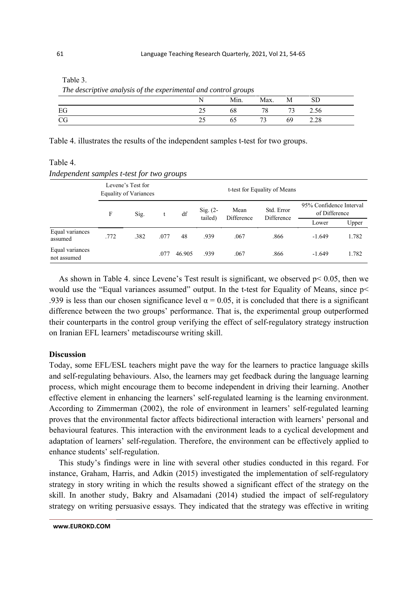Table 3.

 *The descriptive analysis of the experimental and control groups* 

|           | N. |       | Min. Max. M SD |     |      |  |
|-----------|----|-------|----------------|-----|------|--|
|           | 25 |       | 68 78 73 2.56  |     |      |  |
| <b>CG</b> | 25 | 65 73 |                | -69 | 2.28 |  |

Table 4. illustrates the results of the independent samples t-test for two groups.

# Table 4. *Independent samples t-test for two groups*

|                                |      | Levene's Test for<br><b>Equality of Variances</b> |      |        | t-test for Equality of Means |                    |                          |                                          |       |
|--------------------------------|------|---------------------------------------------------|------|--------|------------------------------|--------------------|--------------------------|------------------------------------------|-------|
|                                | F    | Sig.                                              |      | df     | Sig. $(2-$<br>tailed)        | Mean<br>Difference | Std. Error<br>Difference | 95% Confidence Interval<br>of Difference |       |
|                                |      |                                                   |      |        |                              |                    |                          | Lower                                    | Upper |
| Equal variances<br>assumed     | .772 | .382                                              | .077 | 48     | .939                         | .067               | .866                     | $-1.649$                                 | 1.782 |
| Equal variances<br>not assumed |      |                                                   | .077 | 46.905 | .939                         | .067               | .866                     | $-1.649$                                 | 1.782 |

As shown in Table 4. since Levene's Test result is significant, we observed  $p < 0.05$ , then we would use the "Equal variances assumed" output. In the t-test for Equality of Means, since  $p$ .939 is less than our chosen significance level  $\alpha = 0.05$ , it is concluded that there is a significant difference between the two groups' performance. That is, the experimental group outperformed their counterparts in the control group verifying the effect of self-regulatory strategy instruction on Iranian EFL learners' metadiscourse writing skill.

## **Discussion**

Today, some EFL/ESL teachers might pave the way for the learners to practice language skills and self-regulating behaviours. Also, the learners may get feedback during the language learning process, which might encourage them to become independent in driving their learning. Another effective element in enhancing the learners' self-regulated learning is the learning environment. According to Zimmerman (2002), the role of environment in learners' self-regulated learning proves that the environmental factor affects bidirectional interaction with learners' personal and behavioural features. This interaction with the environment leads to a cyclical development and adaptation of learners' self-regulation. Therefore, the environment can be effectively applied to enhance students' self-regulation.

This study's findings were in line with several other studies conducted in this regard. For instance, Graham, Harris, and Adkin (2015) investigated the implementation of self-regulatory strategy in story writing in which the results showed a significant effect of the strategy on the skill. In another study, Bakry and Alsamadani (2014) studied the impact of self-regulatory strategy on writing persuasive essays. They indicated that the strategy was effective in writing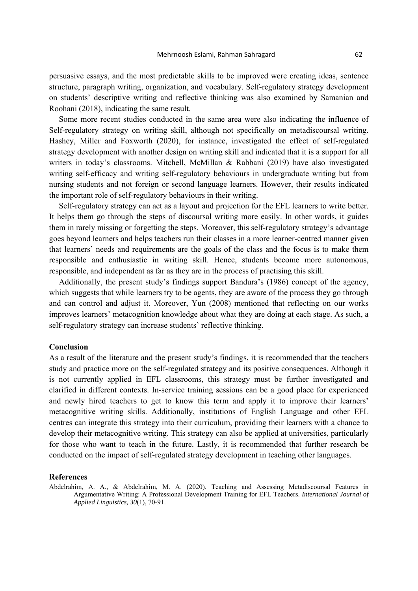persuasive essays, and the most predictable skills to be improved were creating ideas, sentence structure, paragraph writing, organization, and vocabulary. Self-regulatory strategy development on students' descriptive writing and reflective thinking was also examined by Samanian and Roohani (2018), indicating the same result.

Some more recent studies conducted in the same area were also indicating the influence of Self-regulatory strategy on writing skill, although not specifically on metadiscoursal writing. Hashey, Miller and Foxworth (2020), for instance, investigated the effect of self-regulated strategy development with another design on writing skill and indicated that it is a support for all writers in today's classrooms. Mitchell, McMillan & Rabbani (2019) have also investigated writing self-efficacy and writing self-regulatory behaviours in undergraduate writing but from nursing students and not foreign or second language learners. However, their results indicated the important role of self-regulatory behaviours in their writing.

Self-regulatory strategy can act as a layout and projection for the EFL learners to write better. It helps them go through the steps of discoursal writing more easily. In other words, it guides them in rarely missing or forgetting the steps. Moreover, this self-regulatory strategy's advantage goes beyond learners and helps teachers run their classes in a more learner-centred manner given that learners' needs and requirements are the goals of the class and the focus is to make them responsible and enthusiastic in writing skill. Hence, students become more autonomous, responsible, and independent as far as they are in the process of practising this skill.

Additionally, the present study's findings support Bandura's (1986) concept of the agency, which suggests that while learners try to be agents, they are aware of the process they go through and can control and adjust it. Moreover, Yun (2008) mentioned that reflecting on our works improves learners' metacognition knowledge about what they are doing at each stage. As such, a self-regulatory strategy can increase students' reflective thinking.

#### **Conclusion**

As a result of the literature and the present study's findings, it is recommended that the teachers study and practice more on the self-regulated strategy and its positive consequences. Although it is not currently applied in EFL classrooms, this strategy must be further investigated and clarified in different contexts. In-service training sessions can be a good place for experienced and newly hired teachers to get to know this term and apply it to improve their learners' metacognitive writing skills. Additionally, institutions of English Language and other EFL centres can integrate this strategy into their curriculum, providing their learners with a chance to develop their metacognitive writing. This strategy can also be applied at universities, particularly for those who want to teach in the future. Lastly, it is recommended that further research be conducted on the impact of self-regulated strategy development in teaching other languages.

#### **References**

Abdelrahim, A. A., & Abdelrahim, M. A. (2020). Teaching and Assessing Metadiscoursal Features in Argumentative Writing: A Professional Development Training for EFL Teachers. *International Journal of Applied Linguistics, 30*(1), 70-91.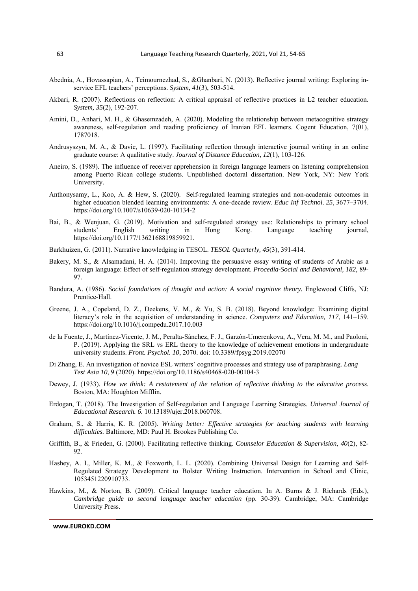- Abednia, A., Hovassapian, A., Teimournezhad, S., &Ghanbari, N. (2013). Reflective journal writing: Exploring inservice EFL teachers' perceptions. *System*, *41*(3), 503-514.
- Akbari, R. (2007). Reflections on reflection: A critical appraisal of reflective practices in L2 teacher education. *System, 35*(2), 192-207.
- Amini, D., Anhari, M. H., & Ghasemzadeh, A. (2020). Modeling the relationship between metacognitive strategy awareness, self-regulation and reading proficiency of Iranian EFL learners. Cogent Education, 7(01), 1787018.
- Andrusyszyn, M. A., & Davie, L. (1997). Facilitating reflection through interactive journal writing in an online graduate course: A qualitative study. *Journal of Distance Education, 12*(1), 103-126.
- Aneiro, S. (1989). The influence of receiver apprehension in foreign language learners on listening comprehension among Puerto Rican college students. Unpublished doctoral dissertation. New York, NY: New York University.
- Anthonysamy, L., Koo, A. & Hew, S. (2020). Self-regulated learning strategies and non-academic outcomes in higher education blended learning environments: A one-decade review. *Educ Inf Technol*. *25*, 3677–3704. https://doi.org/10.1007/s10639-020-10134-2
- Bai, B., & Wenjuan, G. (2019). Motivation and self-regulated strategy use: Relationships to primary school students' English writing in Hong Kong. Language teaching journal, https://doi.org/10.1177/1362168819859921.
- Barkhuizen, G. (2011). Narrative knowledging in TESOL. *TESOL Quarterly, 45*(3), 391-414.
- Bakery, M. S., & Alsamadani, H. A. (2014). Improving the persuasive essay writing of students of Arabic as a foreign language: Effect of self-regulation strategy development. *Procedia-Social and Behavioral, 182*, 89- 97.
- Bandura, A. (1986). *Social foundations of thought and action: A social cognitive theory.* Englewood Cliffs, NJ: Prentice-Hall.
- Greene, J. A., Copeland, D. Z., Deekens, V. M., & Yu, S. B. (2018). Beyond knowledge: Examining digital literacy's role in the acquisition of understanding in science. *Computers and Education, 117*, 141–159. https://doi.org/10.1016/j.compedu.2017.10.003
- de la Fuente, J., Martínez-Vicente, J. M., Peralta-Sánchez, F. J., Garzón-Umerenkova, A., Vera, M. M., and Paoloni, P. (2019). Applying the SRL vs ERL theory to the knowledge of achievement emotions in undergraduate university students. *Front. Psychol. 10*, 2070. doi: 10.3389/fpsyg.2019.02070
- Di Zhang, E. An investigation of novice ESL writers' cognitive processes and strategy use of paraphrasing. *Lang Test Asia 10*, 9 (2020). https://doi.org/10.1186/s40468-020-00104-3
- Dewey, J. (1933). *How we think: A restatement of the relation of reflective thinking to the educative process*. Boston, MA: Houghton Mifflin.
- Erdogan, T. (2018). The Investigation of Self-regulation and Language Learning Strategies. *Universal Journal of Educational Research. 6*. 10.13189/ujer.2018.060708.
- Graham, S., & Harris, K. R. (2005). *Writing better: Effective strategies for teaching students with learning difficulties.* Baltimore, MD: Paul H. Brookes Publishing Co.
- Griffith, B., & Frieden, G. (2000). Facilitating reflective thinking. *Counselor Education & Supervision, 40*(2), 82- 92.
- Hashey, A. I., Miller, K. M., & Foxworth, L. L. (2020). Combining Universal Design for Learning and Self-Regulated Strategy Development to Bolster Writing Instruction. Intervention in School and Clinic, 1053451220910733.
- Hawkins, M., & Norton, B. (2009). Critical language teacher education. In A. Burns & J. Richards (Eds.), *Cambridge guide to second language teacher education* (pp. 30-39). Cambridge, MA: Cambridge University Press.

**www.EUROKD.COM**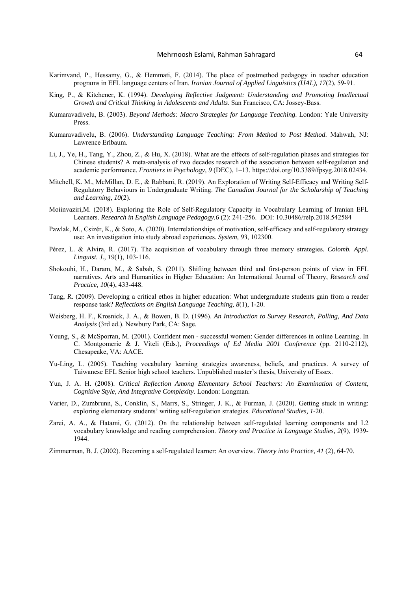- Karimvand, P., Hessamy, G., & Hemmati, F. (2014). The place of postmethod pedagogy in teacher education programs in EFL language centers of Iran. *Iranian Journal of Applied Linguistics (IJAL), 17*(2), 59-91.
- King, P., & Kitchener, K. (1994). *Developing Reflective Judgment: Understanding and Promoting Intellectual Growth and Critical Thinking in Adolescents and Adults*. San Francisco, CA: Jossey-Bass.
- Kumaravadivelu, B. (2003). *Beyond Methods: Macro Strategies for Language Teaching*. London: Yale University Press.
- Kumaravadivelu, B. (2006). *Understanding Language Teaching: From Method to Post Method*. Mahwah, NJ: Lawrence Erlbaum.
- Li, J., Ye, H., Tang, Y., Zhou, Z., & Hu, X. (2018). What are the effects of self-regulation phases and strategies for Chinese students? A meta-analysis of two decades research of the association between self-regulation and academic performance. *Frontiers in Psychology, 9* (DEC), 1–13. https://doi.org/10.3389/fpsyg.2018.02434.
- Mitchell, K. M., McMillan, D. E., & Rabbani, R. (2019). An Exploration of Writing Self-Efficacy and Writing Self-Regulatory Behaviours in Undergraduate Writing. *The Canadian Journal for the Scholarship of Teaching and Learning, 10*(2).
- Moiinvaziri,M. (2018). Exploring the Role of Self-Regulatory Capacity in Vocabulary Learning of Iranian EFL Learners. *Research in English Language Pedagogy.6* (2): 241-256. DOI: 10.30486/relp.2018.542584
- Pawlak, M., Csizér, K., & Soto, A. (2020). Interrelationships of motivation, self-efficacy and self-regulatory strategy use: An investigation into study abroad experiences. *System, 93*, 102300.
- Pérez, L. & Alvira, R. (2017). The acquisition of vocabulary through three memory strategies*. Colomb. Appl. Linguist. J., 19*(1), 103-116.
- Shokouhi, H., Daram, M., & Sabah, S. (2011). Shifting between third and first-person points of view in EFL narratives. Arts and Humanities in Higher Education: An International Journal of Theory, *Research and Practice, 10*(4), 433-448.
- Tang, R. (2009). Developing a critical ethos in higher education: What undergraduate students gain from a reader response task? *Reflections on English Language Teaching, 8*(1), 1-20.
- Weisberg, H. F., Krosnick, J. A., & Bowen, B. D. (1996). *An Introduction to Survey Research, Polling, And Data Analysis* (3rd ed.). Newbury Park, CA: Sage.
- Young, S., & McSporran, M. (2001). Confident men successful women: Gender differences in online Learning. In C. Montgomerie & J. Viteli (Eds.), *Proceedings of Ed Media 2001 Conference* (pp. 2110-2112), Chesapeake, VA: AACE.
- Yu-Ling, L. (2005). Teaching vocabulary learning strategies awareness, beliefs, and practices. A survey of Taiwanese EFL Senior high school teachers. Unpublished master's thesis, University of Essex.
- Yun, J. A. H. (2008). *Critical Reflection Among Elementary School Teachers: An Examination of Content, Cognitive Style, And Integrative Complexity*. London: Longman.
- Varier, D., Zumbrunn, S., Conklin, S., Marrs, S., Stringer, J. K., & Furman, J. (2020). Getting stuck in writing: exploring elementary students' writing self-regulation strategies. *Educational Studies, 1*-20.
- Zarei, A. A., & Hatami, G. (2012). On the relationship between self-regulated learning components and L2 vocabulary knowledge and reading comprehension. *Theory and Practice in Language Studies, 2*(9), 1939- 1944.
- Zimmerman, B. J. (2002). Becoming a self-regulated learner: An overview. *Theory into Practice, 41* (2), 64-70.